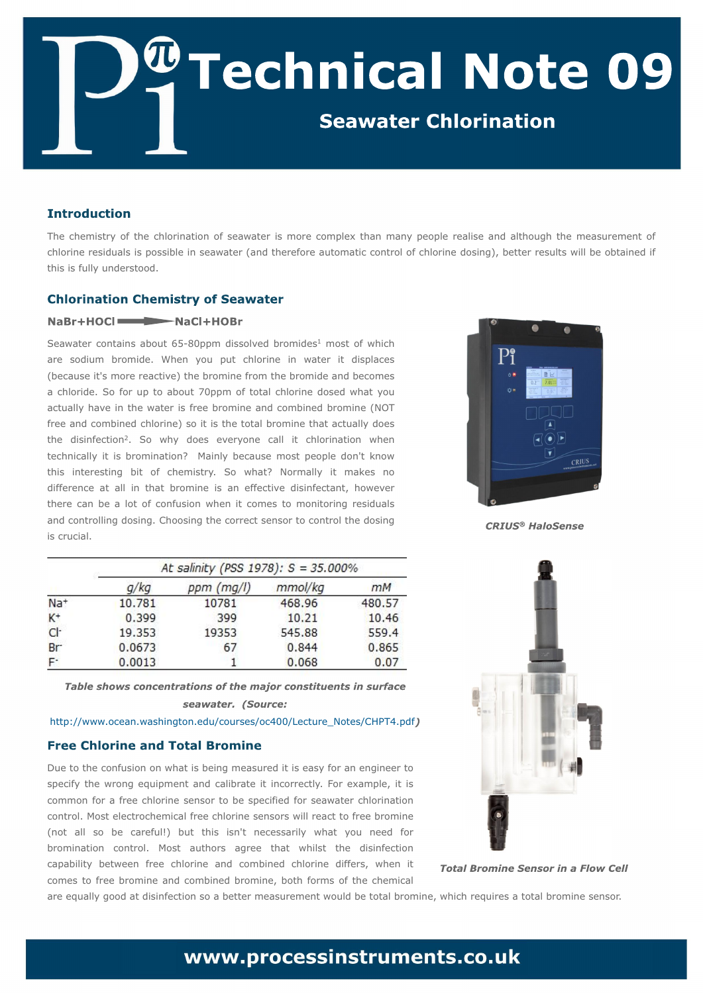Uif difnjtusz pguif dimpsjobujpo pgtfbxbufsjt n psf dpnqmfy uibo n boz qfpqmf sfbrjtf boe bmoipvhi uifnfbtvsfnfou pg dimpsjof sftjevbm jt qpttjcm jotfbxbufs) boe uifsfopsf bvupn bujd dpouspmpgdimpsjof eptjoh\*- cfuufs sftvmat xjmmcf pcubjofe jg u jt jt gymn voef stuppe/

Tf bx buf s dpoubjot bcpvu 76.91qqn ejttpm fe cspn jeft<sup>2</sup> n ptu pg x i jdi bsf tpejvn cspnjef/ Xifo zpv qvu di mpsjof jo xbufs ju ejtqmbdft ) cf dbvtf ju(t n psf sf bdujwf\* u f cspn jof gspn u f cspn jef boe cf dpn ft b di majef / Tp gos vq up bcpvu 81qqn pg upubmdi masjof eptfe x i bu zpv bduvbma i bwf jo uif x buf s jt gsff cspn jof boe dpn cjofe cspn jof )OPU gsf f boe dpn cjofe di mpsjof \* tp jujt ui f upubmcspn jof ui bu bduvbma epft uif ejtjog dujpo<sup>3</sup>/ Tp xiz epft fwfszpof dbmnju dimpsjobujpo xifo uf di ojdbma ju jt cspn jobujpo@ Nbjoma cf dbvtf n ptu qf pqm epo(u l opx uijt joufsftujoh cju pg difnjtusz/ Tp xibu@ Opsnbma ju nblft op ejgf sfodf bu bmnjo u bu cspnjof jt bo fgfdujwf ejtjogfdubou- i pxfwfs uifsf dbo cf b mpu pg dpogvtjpo xifo ju dpn ft up n pojupsjoh sftjevbm boe dpouspmoh eptjoh/Di pptjoh ui f dpssf dutf ot ps up dpouspmui f eptjoh jt dsv djbm

## i ung; 00x x x /pdf bo/x bti johupo/f ev0dpvstft0pd5110M duvsf`Opuft0DI QU5/qeg

Evf up ui f dpogvtjpo po xibujt cfjohn fbtvsfejujt fbtz gos bo fohjoffs up tqfdjgz uif x spoh frvjqn fou boe dbrjcsbuf ju jodpssfdum/ Gps fybn qmf- ju jt dpn n po gos b gsf f di mpsjof tfotps up cf tqfdjgife gos tfbx bufs di mpsjobujpo dpouspm/Nptufm/duspdifnjdbmgsff dimpsjof tfotpst xjmmsfbdu upgsff cspnjof ) opu bmntp cf dbsfgvrh\* cvu uijt jto (u of dfttbsjna xibu zpv offe gos cspnjobujpo dpouspm Nptu bvuipst bhsff uibu xijmu uif ejtjog dujpo dbqbcjminz cfuxffo gsff dimpsjof boe dpn cjofe dimpsjof ejggfst-xifo ju dpn ft up gsff cspn jof boe dpn cjofe cspn jof-cpui gpsn t pg uif difn jdbm bsf frvbma hppe buejtjog dujpo tp b cfuufsn fbtvsfn fouxpvme cfupubmcspnjof-xijdi sfrvjsft bupubmcspnjof tfotps'